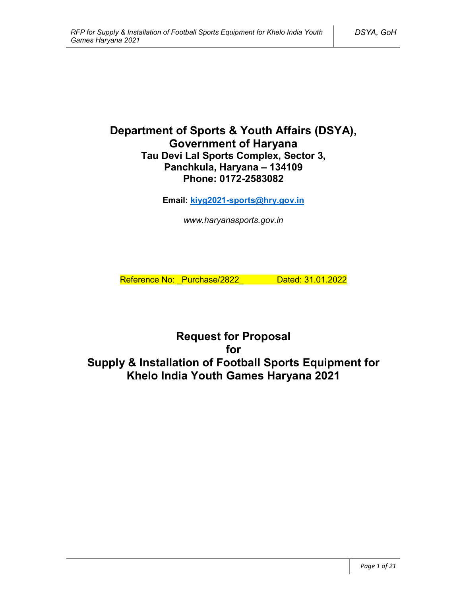# **Department of Sports & Youth Affairs (DSYA), Government of Haryana Tau Devi Lal Sports Complex, Sector 3, Panchkula, Haryana – 134109 Phone: 0172-2583082**

**Email: kiyg2021-sports@hry.gov.in**

*www.haryanasports.gov.in*

Reference No: Purchase/2822\_ Dated: 31.01.2022

**Request for Proposal for Supply & Installation of Football Sports Equipment for Khelo India Youth Games Haryana 2021**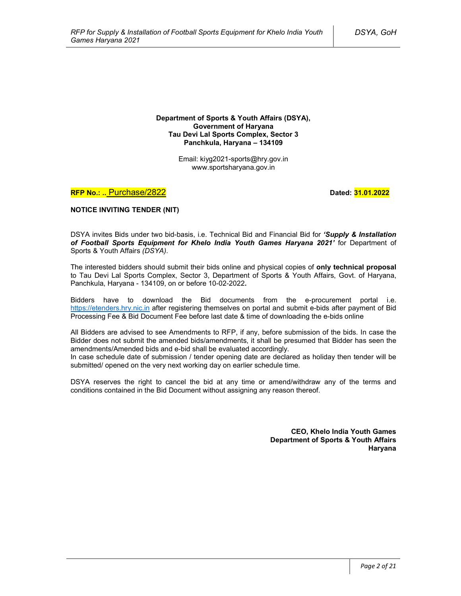**Department of Sports & Youth Affairs (DSYA), Government of Haryana Tau Devi Lal Sports Complex, Sector 3 Panchkula, Haryana – 134109**

> Email: kiyg2021-sports@hry.gov.in www.sportsharyana.gov.in

**RFP No.: .. Purchase/2822 <b>Dated: 31.01.2022 Dated: 31.01.2022** 

**NOTICE INVITING TENDER (NIT)**

DSYA invites Bids under two bid-basis, i.e. Technical Bid and Financial Bid for *'Supply & Installation of Football Sports Equipment for Khelo India Youth Games Haryana 2021'* for Department of Sports & Youth Affairs *(DSYA)*.

The interested bidders should submit their bids online and physical copies of **only technical proposal** to Tau Devi Lal Sports Complex, Sector 3, Department of Sports & Youth Affairs, Govt. of Haryana, Panchkula, Haryana - 134109, on or before 10-02-2022**.**

Bidders have to download the Bid documents from the e-procurement portal i.e. https://etenders.hry.nic.in after registering themselves on portal and submit e-bids after payment of Bid Processing Fee & Bid Document Fee before last date & time of downloading the e-bids online

All Bidders are advised to see Amendments to RFP, if any, before submission of the bids. In case the Bidder does not submit the amended bids/amendments, it shall be presumed that Bidder has seen the amendments/Amended bids and e-bid shall be evaluated accordingly.

In case schedule date of submission / tender opening date are declared as holiday then tender will be submitted/ opened on the very next working day on earlier schedule time.

DSYA reserves the right to cancel the bid at any time or amend/withdraw any of the terms and conditions contained in the Bid Document without assigning any reason thereof.

> **CEO, Khelo India Youth Games Department of Sports & Youth Affairs Haryana**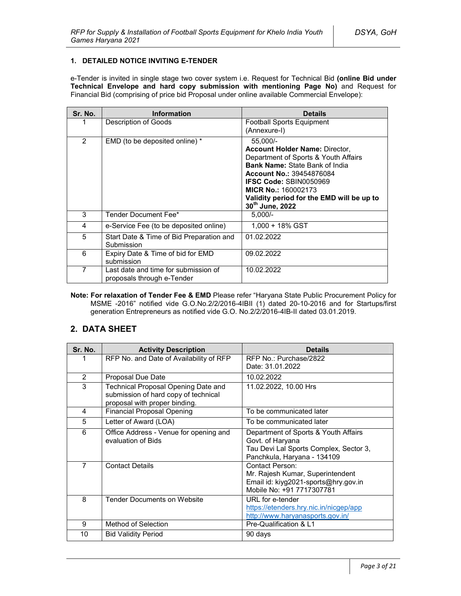### **1. DETAILED NOTICE INVITING E-TENDER**

e-Tender is invited in single stage two cover system i.e. Request for Technical Bid **(online Bid under Technical Envelope and hard copy submission with mentioning Page No)** and Request for Financial Bid (comprising of price bid Proposal under online available Commercial Envelope):

| Sr. No. | <b>Information</b>                                                 | <b>Details</b>                                                                                                                                                                                                                                                                                       |
|---------|--------------------------------------------------------------------|------------------------------------------------------------------------------------------------------------------------------------------------------------------------------------------------------------------------------------------------------------------------------------------------------|
|         | Description of Goods                                               | <b>Football Sports Equipment</b><br>(Annexure-I)                                                                                                                                                                                                                                                     |
| 2       | EMD (to be deposited online) *                                     | 55,000/-<br><b>Account Holder Name: Director,</b><br>Department of Sports & Youth Affairs<br><b>Bank Name: State Bank of India</b><br><b>Account No.: 39454876084</b><br><b>IFSC Code: SBIN0050969</b><br><b>MICR No.: 160002173</b><br>Validity period for the EMD will be up to<br>30th June, 2022 |
| 3       | Tender Document Fee*                                               | $5,000/-$                                                                                                                                                                                                                                                                                            |
| 4       | e-Service Fee (to be deposited online)                             | $1.000 + 18\%$ GST                                                                                                                                                                                                                                                                                   |
| 5       | Start Date & Time of Bid Preparation and<br>Submission             | 01.02.2022                                                                                                                                                                                                                                                                                           |
| 6       | Expiry Date & Time of bid for EMD<br>submission                    | 09.02.2022                                                                                                                                                                                                                                                                                           |
| 7       | Last date and time for submission of<br>proposals through e-Tender | 10.02.2022                                                                                                                                                                                                                                                                                           |

**Note: For relaxation of Tender Fee & EMD** Please refer "Haryana State Public Procurement Policy for MSME -2016" notified vide G.O.No.2/2/2016-4IBII (1) dated 20-10-2016 and for Startups/first generation Entrepreneurs as notified vide G.O. No.2/2/2016-4IB-II dated 03.01.2019.

# **2. DATA SHEET**

| Sr. No.        | <b>Activity Description</b>                                                                                  | <b>Details</b>                                                                                                                    |  |
|----------------|--------------------------------------------------------------------------------------------------------------|-----------------------------------------------------------------------------------------------------------------------------------|--|
| 1              | RFP No. and Date of Availability of RFP                                                                      | RFP No.: Purchase/2822<br>Date: 31.01.2022                                                                                        |  |
| $\overline{2}$ | Proposal Due Date                                                                                            | 10.02.2022                                                                                                                        |  |
| 3              | Technical Proposal Opening Date and<br>submission of hard copy of technical<br>proposal with proper binding. | 11.02.2022, 10.00 Hrs                                                                                                             |  |
| 4              | <b>Financial Proposal Opening</b>                                                                            | To be communicated later                                                                                                          |  |
| 5              | Letter of Award (LOA)                                                                                        | To be communicated later                                                                                                          |  |
| 6              | Office Address - Venue for opening and<br>evaluation of Bids                                                 | Department of Sports & Youth Affairs<br>Govt. of Haryana<br>Tau Devi Lal Sports Complex, Sector 3,<br>Panchkula, Haryana - 134109 |  |
| 7              | <b>Contact Details</b>                                                                                       | Contact Person:<br>Mr. Rajesh Kumar, Superintendent<br>Email id: kiyg2021-sports@hry.gov.in<br>Mobile No: +91 7717307781          |  |
| 8              | <b>Tender Documents on Website</b>                                                                           | URL for e-tender<br>https://etenders.hry.nic.in/nicgep/app<br>http://www.haryanasports.gov.in/                                    |  |
| 9              | Method of Selection                                                                                          | Pre-Qualification & L1                                                                                                            |  |
| 10             | <b>Bid Validity Period</b>                                                                                   | 90 days                                                                                                                           |  |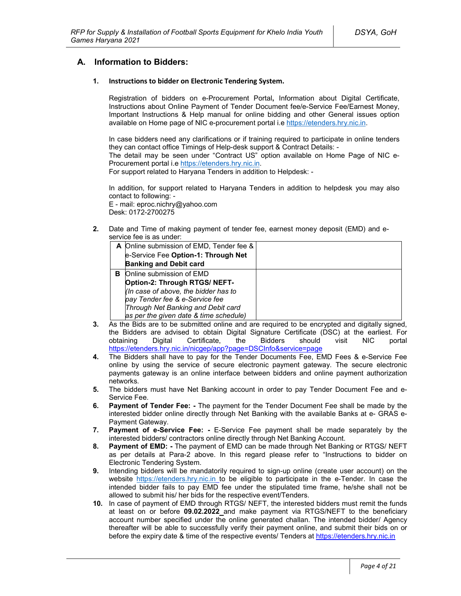## **A. Information to Bidders:**

#### **1. Instructions to bidder on Electronic Tendering System.**

Registration of bidders on e-Procurement Portal**,** Information about Digital Certificate, Instructions about Online Payment of Tender Document fee/e-Service Fee/Earnest Money, Important Instructions & Help manual for online bidding and other General issues option available on Home page of NIC e-procurement portal i.e https://etenders.hry.nic.in.

In case bidders need any clarifications or if training required to participate in online tenders they can contact office Timings of Help-desk support & Contract Details: -

The detail may be seen under "Contract US" option available on Home Page of NIC e-Procurement portal i.e https://etenders.hry.nic.in.

For support related to Haryana Tenders in addition to Helpdesk: -

In addition, for support related to Haryana Tenders in addition to helpdesk you may also contact to following: -

E - mail: eproc.nichry@yahoo.com Desk: 0172-2700275

**2.** Date and Time of making payment of tender fee, earnest money deposit (EMD) and eservice fee is as under:

|   | A Online submission of EMD, Tender fee & |  |
|---|------------------------------------------|--|
|   | e-Service Fee Option-1: Through Net      |  |
|   | <b>Banking and Debit card</b>            |  |
| в | Online submission of EMD                 |  |
|   | Option-2: Through RTGS/ NEFT-            |  |
|   | (In case of above, the bidder has to     |  |
|   | pay Tender fee & e-Service fee           |  |
|   | Through Net Banking and Debit card       |  |
|   | as per the given date & time schedule)   |  |

- **3.** As the Bids are to be submitted online and are required to be encrypted and digitally signed, the Bidders are advised to obtain Digital Signature Certificate (DSC) at the earliest. For obtaining Digital Certificate, the Bidders should visit NIC portal https://etenders.hry.nic.in/nicgep/app?page=DSCInfo&service=page
- **4.** The Bidders shall have to pay for the Tender Documents Fee, EMD Fees & e-Service Fee online by using the service of secure electronic payment gateway. The secure electronic payments gateway is an online interface between bidders and online payment authorization networks.
- **5.** The bidders must have Net Banking account in order to pay Tender Document Fee and e-Service Fee.
- **6. Payment of Tender Fee: -** The payment for the Tender Document Fee shall be made by the interested bidder online directly through Net Banking with the available Banks at e- GRAS e-Payment Gateway.
- **7. Payment of e-Service Fee: -** E-Service Fee payment shall be made separately by the interested bidders/ contractors online directly through Net Banking Account.
- **8. Payment of EMD: -** The payment of EMD can be made through Net Banking or RTGS/ NEFT as per details at Para-2 above. In this regard please refer to "Instructions to bidder on Electronic Tendering System.
- **9.** Intending bidders will be mandatorily required to sign-up online (create user account) on the website https://etenders.hry.nic.in to be eligible to participate in the e-Tender. In case the intended bidder fails to pay EMD fee under the stipulated time frame, he/she shall not be allowed to submit his/ her bids for the respective event/Tenders.
- **10.** In case of payment of EMD through RTGS/ NEFT, the interested bidders must remit the funds at least on or before **09.02.2022** and make payment via RTGS/NEFT to the beneficiary account number specified under the online generated challan. The intended bidder/ Agency thereafter will be able to successfully verify their payment online, and submit their bids on or before the expiry date & time of the respective events/ Tenders at https://etenders.hry.nic.in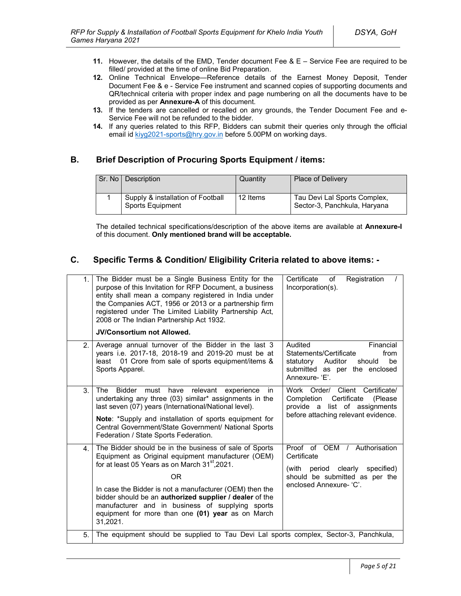- **11.** However, the details of the EMD, Tender document Fee & E Service Fee are required to be filled/ provided at the time of online Bid Preparation.
- **12.** Online Technical Envelope—Reference details of the Earnest Money Deposit, Tender Document Fee & e - Service Fee instrument and scanned copies of supporting documents and QR/technical criteria with proper index and page numbering on all the documents have to be provided as per **Annexure-A** of this document.
- **13.** If the tenders are cancelled or recalled on any grounds, the Tender Document Fee and e-Service Fee will not be refunded to the bidder.
- **14.** If any queries related to this RFP, Bidders can submit their queries only through the official email id kiyg2021-sports@hry.gov.in before 5.00PM on working days.

# **B. Brief Description of Procuring Sports Equipment / items:**

| Sr. No I | Description                                           | Quantity | <b>Place of Delivery</b>                                     |
|----------|-------------------------------------------------------|----------|--------------------------------------------------------------|
|          | Supply & installation of Football<br>Sports Equipment | 12 Items | Tau Devi Lal Sports Complex,<br>Sector-3, Panchkula, Haryana |

The detailed technical specifications/description of the above items are available at **Annexure-I** of this document. **Only mentioned brand will be acceptable.**

# **C. Specific Terms & Condition/ Eligibility Criteria related to above items: -**

| 1. | The Bidder must be a Single Business Entity for the<br>purpose of this Invitation for RFP Document, a business<br>entity shall mean a company registered in India under<br>the Companies ACT, 1956 or 2013 or a partnership firm<br>registered under The Limited Liability Partnership Act,<br>2008 or The Indian Partnership Act 1932.<br><b>JV/Consortium not Allowed.</b>                                                            | Certificate<br>Registration<br>of<br>Incorporation(s).                                                                                            |
|----|-----------------------------------------------------------------------------------------------------------------------------------------------------------------------------------------------------------------------------------------------------------------------------------------------------------------------------------------------------------------------------------------------------------------------------------------|---------------------------------------------------------------------------------------------------------------------------------------------------|
| 2. | Average annual turnover of the Bidder in the last 3<br>years i.e. 2017-18, 2018-19 and 2019-20 must be at<br>01 Crore from sale of sports equipment/items &<br>least<br>Sports Apparel.                                                                                                                                                                                                                                                 | Audited<br>Financial<br>Statements/Certificate<br>from<br>statutory<br>Auditor<br>be<br>should<br>submitted as per the enclosed<br>Annexure-'E'.  |
| 3. | The<br><b>Bidder</b><br>must<br>have<br>relevant<br>experience<br>in.<br>undertaking any three (03) similar* assignments in the<br>last seven (07) years (International/National level).<br>Note: *Supply and installation of sports equipment for<br>Central Government/State Government/ National Sports<br>Federation / State Sports Federation.                                                                                     | Work Order/ Client Certificate/<br>Certificate<br>Completion<br>(Please)<br>provide a list of assignments<br>before attaching relevant evidence.  |
| 4. | The Bidder should be in the business of sale of Sports<br>Equipment as Original equipment manufacturer (OEM)<br>for at least 05 Years as on March 31 <sup>st</sup> , 2021.<br>0 <sub>R</sub><br>In case the Bidder is not a manufacturer (OEM) then the<br>bidder should be an authorized supplier / dealer of the<br>manufacturer and in business of supplying sports<br>equipment for more than one (01) year as on March<br>31,2021. | Proof of OEM /<br>Authorisation<br>Certificate<br>(with period clearly<br>specified)<br>should be submitted as per the<br>enclosed Annexure- 'C'. |
| 5. | The equipment should be supplied to Tau Devi Lal sports complex, Sector-3, Panchkula,                                                                                                                                                                                                                                                                                                                                                   |                                                                                                                                                   |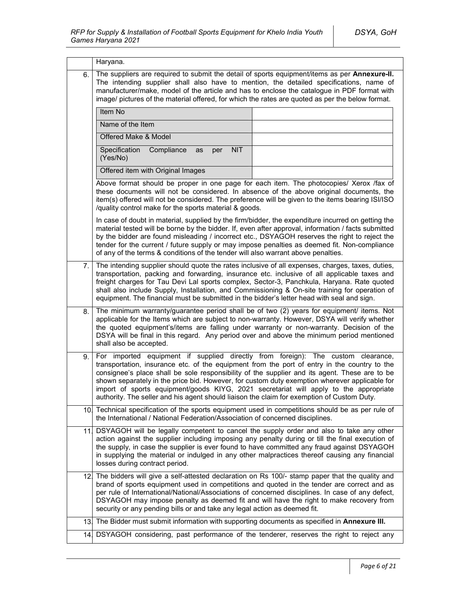|     | Haryana.                                                                                                                                                                                                                                                                                                                                                                                                                                                                                                                                                                  |  |  |  |  |
|-----|---------------------------------------------------------------------------------------------------------------------------------------------------------------------------------------------------------------------------------------------------------------------------------------------------------------------------------------------------------------------------------------------------------------------------------------------------------------------------------------------------------------------------------------------------------------------------|--|--|--|--|
| 6.  | The suppliers are required to submit the detail of sports equipment/items as per Annexure-II.<br>The intending supplier shall also have to mention, the detailed specifications, name of<br>manufacturer/make, model of the article and has to enclose the catalogue in PDF format with<br>image/ pictures of the material offered, for which the rates are quoted as per the below format.                                                                                                                                                                               |  |  |  |  |
|     | Item No                                                                                                                                                                                                                                                                                                                                                                                                                                                                                                                                                                   |  |  |  |  |
|     | Name of the Item                                                                                                                                                                                                                                                                                                                                                                                                                                                                                                                                                          |  |  |  |  |
|     | Offered Make & Model                                                                                                                                                                                                                                                                                                                                                                                                                                                                                                                                                      |  |  |  |  |
|     | Specification<br>Compliance<br><b>NIT</b><br>as<br>per<br>(Yes/No)                                                                                                                                                                                                                                                                                                                                                                                                                                                                                                        |  |  |  |  |
|     | Offered item with Original Images                                                                                                                                                                                                                                                                                                                                                                                                                                                                                                                                         |  |  |  |  |
|     | Above format should be proper in one page for each item. The photocopies/ Xerox /fax of<br>these documents will not be considered. In absence of the above original documents, the<br>item(s) offered will not be considered. The preference will be given to the items bearing ISI/ISO<br>/quality control make for the sports material & goods.                                                                                                                                                                                                                         |  |  |  |  |
|     | In case of doubt in material, supplied by the firm/bidder, the expenditure incurred on getting the<br>material tested will be borne by the bidder. If, even after approval, information / facts submitted<br>by the bidder are found misleading / incorrect etc., DSYAGOH reserves the right to reject the<br>tender for the current / future supply or may impose penalties as deemed fit. Non-compliance<br>of any of the terms & conditions of the tender will also warrant above penalties.                                                                           |  |  |  |  |
| 7.  | The intending supplier should quote the rates inclusive of all expenses, charges, taxes, duties,<br>transportation, packing and forwarding, insurance etc. inclusive of all applicable taxes and<br>freight charges for Tau Devi Lal sports complex, Sector-3, Panchkula, Haryana. Rate quoted<br>shall also include Supply, Installation, and Commissioning & On-site training for operation of<br>equipment. The financial must be submitted in the bidder's letter head with seal and sign.                                                                            |  |  |  |  |
| 8.  | The minimum warranty/guarantee period shall be of two (2) years for equipment/ items. Not<br>applicable for the Items which are subject to non-warranty. However, DSYA will verify whether<br>the quoted equipment's/items are falling under warranty or non-warranty. Decision of the<br>DSYA will be final in this regard. Any period over and above the minimum period mentioned<br>shall also be accepted.                                                                                                                                                            |  |  |  |  |
| 9.  | For imported equipment if supplied directly from foreign): The custom clearance,<br>transportation, insurance etc. of the equipment from the port of entry in the country to the<br>consignee's place shall be sole responsibility of the supplier and its agent. These are to be<br>shown separately in the price bid. However, for custom duty exemption wherever applicable for<br>import of sports equipment/goods KIYG, 2021 secretariat will apply to the appropriate<br>authority. The seller and his agent should liaison the claim for exemption of Custom Duty. |  |  |  |  |
|     | 10. Technical specification of the sports equipment used in competitions should be as per rule of<br>the International / National Federation/Association of concerned disciplines.                                                                                                                                                                                                                                                                                                                                                                                        |  |  |  |  |
| 11  | DSYAGOH will be legally competent to cancel the supply order and also to take any other<br>action against the supplier including imposing any penalty during or till the final execution of<br>the supply, in case the supplier is ever found to have committed any fraud against DSYAGOH<br>in supplying the material or indulged in any other malpractices thereof causing any financial<br>losses during contract period.                                                                                                                                              |  |  |  |  |
| 12. | The bidders will give a self-attested declaration on Rs 100/- stamp paper that the quality and<br>brand of sports equipment used in competitions and quoted in the tender are correct and as<br>per rule of International/National/Associations of concerned disciplines. In case of any defect,<br>DSYAGOH may impose penalty as deemed fit and will have the right to make recovery from<br>security or any pending bills or and take any legal action as deemed fit.                                                                                                   |  |  |  |  |
| 13. | The Bidder must submit information with supporting documents as specified in Annexure III.                                                                                                                                                                                                                                                                                                                                                                                                                                                                                |  |  |  |  |
| 14. | DSYAGOH considering, past performance of the tenderer, reserves the right to reject any                                                                                                                                                                                                                                                                                                                                                                                                                                                                                   |  |  |  |  |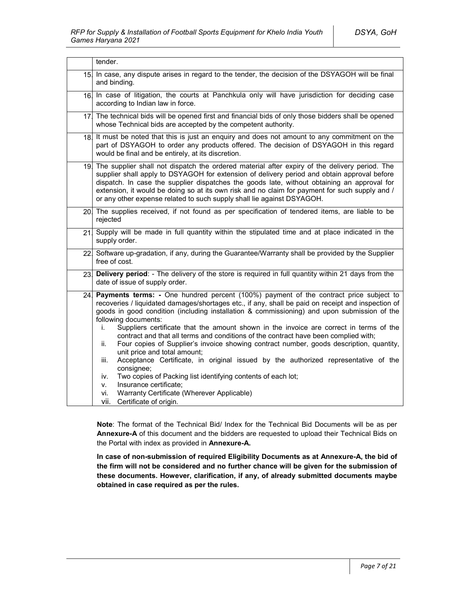|                 | tender.                                                                                                                                                                                                                                                                                                                                                                                                                                                                                                                                                                                                                                                                                                                                                                                                                                                                                                                                               |
|-----------------|-------------------------------------------------------------------------------------------------------------------------------------------------------------------------------------------------------------------------------------------------------------------------------------------------------------------------------------------------------------------------------------------------------------------------------------------------------------------------------------------------------------------------------------------------------------------------------------------------------------------------------------------------------------------------------------------------------------------------------------------------------------------------------------------------------------------------------------------------------------------------------------------------------------------------------------------------------|
| 15.             | In case, any dispute arises in regard to the tender, the decision of the DSYAGOH will be final<br>and binding.                                                                                                                                                                                                                                                                                                                                                                                                                                                                                                                                                                                                                                                                                                                                                                                                                                        |
| 16.             | In case of litigation, the courts at Panchkula only will have jurisdiction for deciding case<br>according to Indian law in force.                                                                                                                                                                                                                                                                                                                                                                                                                                                                                                                                                                                                                                                                                                                                                                                                                     |
| 17.             | The technical bids will be opened first and financial bids of only those bidders shall be opened<br>whose Technical bids are accepted by the competent authority.                                                                                                                                                                                                                                                                                                                                                                                                                                                                                                                                                                                                                                                                                                                                                                                     |
| 18.             | It must be noted that this is just an enguiry and does not amount to any commitment on the<br>part of DSYAGOH to order any products offered. The decision of DSYAGOH in this regard<br>would be final and be entirely, at its discretion.                                                                                                                                                                                                                                                                                                                                                                                                                                                                                                                                                                                                                                                                                                             |
| 19 <sub>1</sub> | The supplier shall not dispatch the ordered material after expiry of the delivery period. The<br>supplier shall apply to DSYAGOH for extension of delivery period and obtain approval before<br>dispatch. In case the supplier dispatches the goods late, without obtaining an approval for<br>extension, it would be doing so at its own risk and no claim for payment for such supply and /<br>or any other expense related to such supply shall lie against DSYAGOH.                                                                                                                                                                                                                                                                                                                                                                                                                                                                               |
|                 | 20. The supplies received, if not found as per specification of tendered items, are liable to be<br>rejected                                                                                                                                                                                                                                                                                                                                                                                                                                                                                                                                                                                                                                                                                                                                                                                                                                          |
| 21              | Supply will be made in full quantity within the stipulated time and at place indicated in the<br>supply order.                                                                                                                                                                                                                                                                                                                                                                                                                                                                                                                                                                                                                                                                                                                                                                                                                                        |
|                 | 22 Software up-gradation, if any, during the Guarantee/Warranty shall be provided by the Supplier<br>free of cost.                                                                                                                                                                                                                                                                                                                                                                                                                                                                                                                                                                                                                                                                                                                                                                                                                                    |
| 23.             | Delivery period: - The delivery of the store is required in full quantity within 21 days from the<br>date of issue of supply order.                                                                                                                                                                                                                                                                                                                                                                                                                                                                                                                                                                                                                                                                                                                                                                                                                   |
| 24.             | Payments terms: - One hundred percent (100%) payment of the contract price subject to<br>recoveries / liquidated damages/shortages etc., if any, shall be paid on receipt and inspection of<br>goods in good condition (including installation & commissioning) and upon submission of the<br>following documents:<br>Suppliers certificate that the amount shown in the invoice are correct in terms of the<br>İ.<br>contract and that all terms and conditions of the contract have been complied with;<br>Four copies of Supplier's invoice showing contract number, goods description, quantity,<br>ii.<br>unit price and total amount;<br>Acceptance Certificate, in original issued by the authorized representative of the<br>iii.<br>consignee;<br>Two copies of Packing list identifying contents of each lot;<br>iv.<br>Insurance certificate;<br>v.<br>Warranty Certificate (Wherever Applicable)<br>vi.<br>vii.<br>Certificate of origin. |

**Note**: The format of the Technical Bid/ Index for the Technical Bid Documents will be as per **Annexure-A** of this document and the bidders are requested to upload their Technical Bids on the Portal with index as provided in **Annexure-A.**

**In case of non-submission of required Eligibility Documents as at Annexure-A, the bid of the firm will not be considered and no further chance will be given for the submission of these documents. However, clarification, if any, of already submitted documents maybe obtained in case required as per the rules.**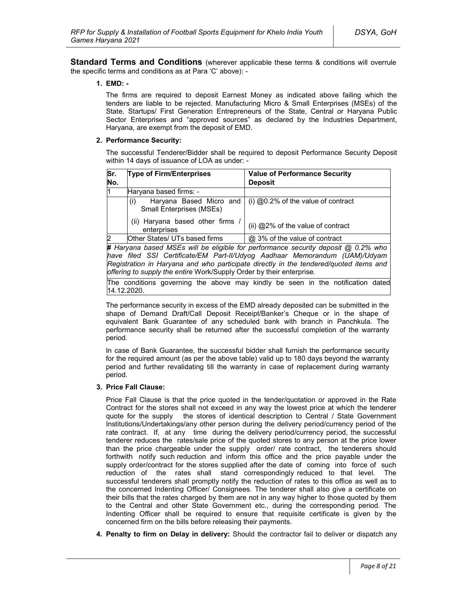**Standard Terms and Conditions** (wherever applicable these terms & conditions will overrule the specific terms and conditions as at Para 'C' above): -

#### **1. EMD: -**

The firms are required to deposit Earnest Money as indicated above failing which the tenders are liable to be rejected. Manufacturing Micro & Small Enterprises (MSEs) of the State, Startups/ First Generation Entrepreneurs of the State, Central or Haryana Public Sector Enterprises and "approved sources" as declared by the Industries Department, Haryana, are exempt from the deposit of EMD.

#### **2. Performance Security:**

The successful Tenderer/Bidder shall be required to deposit Performance Security Deposit within 14 days of issuance of LOA as under: -

| Sr.<br>No.                                    | <b>Type of Firm/Enterprises</b>                                   | <b>Value of Performance Security</b><br><b>Deposit</b>                              |  |
|-----------------------------------------------|-------------------------------------------------------------------|-------------------------------------------------------------------------------------|--|
| l1                                            | Haryana based firms: -                                            |                                                                                     |  |
|                                               | Haryana Based Micro and<br>(i)<br><b>Small Enterprises (MSEs)</b> | $(i)$ @0.2% of the value of contract                                                |  |
| (ii) Haryana based other firms<br>enterprises |                                                                   | (ii) @2% of the value of contract                                                   |  |
| $\overline{2}$                                | Other States/ UTs based firms                                     | @ 3% of the value of contract                                                       |  |
|                                               |                                                                   | # Harvana hased MSEs will be eligible for performance security deposit @ 0.2% who l |  |

**#** *Haryana based MSEs will be eligible for performance security deposit @ 0.2% who have filed SSI Certificate/EM Part-II/Udyog Aadhaar Memorandum (UAM)/Udyam Registration in Haryana and who participate directly in the tendered/quoted items and offering to supply the entire* Work/Supply Order by their enterprise*.*

The conditions governing the above may kindly be seen in the notification dated 14.12.2020.

The performance security in excess of the EMD already deposited can be submitted in the shape of Demand Draft/Call Deposit Receipt/Banker's Cheque or in the shape of equivalent Bank Guarantee of any scheduled bank with branch in Panchkula. The performance security shall be returned after the successful completion of the warranty period.

In case of Bank Guarantee, the successful bidder shall furnish the performance security for the required amount (as per the above table) valid up to 180 days beyond the warranty period and further revalidating till the warranty in case of replacement during warranty period.

### **3. Price Fall Clause:**

Price Fall Clause is that the price quoted in the tender/quotation or approved in the Rate Contract for the stores shall not exceed in any way the lowest price at which the tenderer quote for the supply the stores of identical description to Central / State Government Institutions/Undertakings/any other person during the delivery period/currency period of the rate contract. If, at any time during the delivery period/currency period, the successful tenderer reduces the rates/sale price of the quoted stores to any person at the price lower than the price chargeable under the supply order/ rate contract, the tenderers should forthwith notify such reduction and inform this office and the price payable under the supply order/contract for the stores supplied after the date of coming into force of such reduction of the rates shall stand correspondingly reduced to that level. The successful tenderers shall promptly notify the reduction of rates to this office as well as to the concerned Indenting Officer/ Consignees. The tenderer shall also give a certificate on their bills that the rates charged by them are not in any way higher to those quoted by them to the Central and other State Government etc., during the corresponding period. The Indenting Officer shall be required to ensure that requisite certificate is given by the concerned firm on the bills before releasing their payments.

**4. Penalty to firm on Delay in delivery:** Should the contractor fail to deliver or dispatch any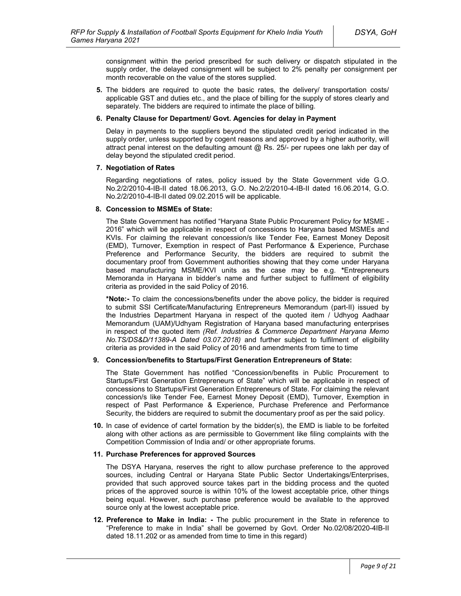consignment within the period prescribed for such delivery or dispatch stipulated in the supply order, the delayed consignment will be subject to 2% penalty per consignment per month recoverable on the value of the stores supplied.

**5.** The bidders are required to quote the basic rates, the delivery/ transportation costs/ applicable GST and duties etc., and the place of billing for the supply of stores clearly and separately. The bidders are required to intimate the place of billing.

#### **6. Penalty Clause for Department/ Govt. Agencies for delay in Payment**

Delay in payments to the suppliers beyond the stipulated credit period indicated in the supply order, unless supported by cogent reasons and approved by a higher authority, will attract penal interest on the defaulting amount  $@$  Rs. 25/- per rupees one lakh per day of delay beyond the stipulated credit period.

#### **7. Negotiation of Rates**

Regarding negotiations of rates, policy issued by the State Government vide G.O. No.2/2/2010-4-IB-II dated 18.06.2013, G.O. No.2/2/2010-4-IB-II dated 16.06.2014, G.O. No.2/2/2010-4-IB-II dated 09.02.2015 will be applicable.

#### **8. Concession to MSMEs of State:**

The State Government has notified "Haryana State Public Procurement Policy for MSME - 2016" which will be applicable in respect of concessions to Haryana based MSMEs and KVIs. For claiming the relevant concession/s like Tender Fee, Earnest Money Deposit (EMD), Turnover, Exemption in respect of Past Performance & Experience, Purchase Preference and Performance Security, the bidders are required to submit the documentary proof from Government authorities showing that they come under Haryana based manufacturing MSME/KVI units as the case may be e.g. **\***Entrepreneurs Memoranda in Haryana in bidder's name and further subject to fulfilment of eligibility criteria as provided in the said Policy of 2016.

**\*Note:-** To claim the concessions/benefits under the above policy, the bidder is required to submit SSI Certificate/Manufacturing Entrepreneurs Memorandum (part-II) issued by the Industries Department Haryana in respect of the quoted item / Udhyog Aadhaar Memorandum (UAM)/Udhyam Registration of Haryana based manufacturing enterprises in respect of the quoted item *(Ref. Industries & Commerce Department Haryana Memo No.TS/DS&D/11389-A Dated 03.07.2018)* and further subject to fulfilment of eligibility criteria as provided in the said Policy of 2016 and amendments from time to time

### **9. Concession/benefits to Startups/First Generation Entrepreneurs of State:**

The State Government has notified "Concession/benefits in Public Procurement to Startups/First Generation Entrepreneurs of State" which will be applicable in respect of concessions to Startups/First Generation Entrepreneurs of State. For claiming the relevant concession/s like Tender Fee, Earnest Money Deposit (EMD), Turnover, Exemption in respect of Past Performance & Experience, Purchase Preference and Performance Security, the bidders are required to submit the documentary proof as per the said policy.

**10.** In case of evidence of cartel formation by the bidder(s), the EMD is liable to be forfeited along with other actions as are permissible to Government like filing complaints with the Competition Commission of India and/ or other appropriate forums.

#### **11. Purchase Preferences for approved Sources**

The DSYA Haryana, reserves the right to allow purchase preference to the approved sources, including Central or Haryana State Public Sector Undertakings/Enterprises, provided that such approved source takes part in the bidding process and the quoted prices of the approved source is within 10% of the lowest acceptable price, other things being equal. However, such purchase preference would be available to the approved source only at the lowest acceptable price.

**12. Preference to Make in India: -** The public procurement in the State in reference to "Preference to make in India" shall be governed by Govt. Order No.02/08/2020-4IB-II dated 18.11.202 or as amended from time to time in this regard)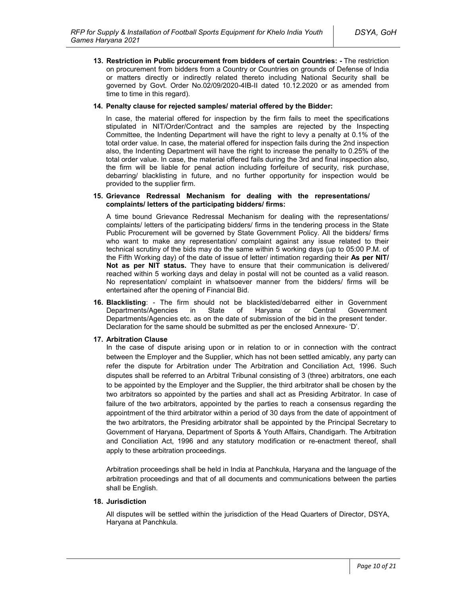**13. Restriction in Public procurement from bidders of certain Countries: -** The restriction on procurement from bidders from a Country or Countries on grounds of Defense of India or matters directly or indirectly related thereto including National Security shall be governed by Govt. Order No.02/09/2020-4IB-II dated 10.12.2020 or as amended from time to time in this regard).

#### **14. Penalty clause for rejected samples/ material offered by the Bidder:**

In case, the material offered for inspection by the firm fails to meet the specifications stipulated in NIT/Order/Contract and the samples are rejected by the Inspecting Committee, the Indenting Department will have the right to levy a penalty at 0.1% of the total order value. In case, the material offered for inspection fails during the 2nd inspection also, the Indenting Department will have the right to increase the penalty to 0.25% of the total order value. In case, the material offered fails during the 3rd and final inspection also, the firm will be liable for penal action including forfeiture of security, risk purchase, debarring/ blacklisting in future, and no further opportunity for inspection would be provided to the supplier firm.

#### **15. Grievance Redressal Mechanism for dealing with the representations/ complaints/ letters of the participating bidders/ firms:**

A time bound Grievance Redressal Mechanism for dealing with the representations/ complaints/ letters of the participating bidders/ firms in the tendering process in the State Public Procurement will be governed by State Government Policy. All the bidders/ firms who want to make any representation/ complaint against any issue related to their technical scrutiny of the bids may do the same within 5 working days (up to 05:00 P.M. of the Fifth Working day) of the date of issue of letter/ intimation regarding their **As per NIT/ Not as per NIT status.** They have to ensure that their communication is delivered/ reached within 5 working days and delay in postal will not be counted as a valid reason. No representation/ complaint in whatsoever manner from the bidders/ firms will be entertained after the opening of Financial Bid.

**16. Blacklisting**: - The firm should not be blacklisted/debarred either in Government Departments/Agencies in State of Haryana or Central Government Departments/Agencies etc. as on the date of submission of the bid in the present tender. Declaration for the same should be submitted as per the enclosed Annexure- 'D'.

### **17. Arbitration Clause**

In the case of dispute arising upon or in relation to or in connection with the contract between the Employer and the Supplier, which has not been settled amicably, any party can refer the dispute for Arbitration under The Arbitration and Conciliation Act, 1996. Such disputes shall be referred to an Arbitral Tribunal consisting of 3 (three) arbitrators, one each to be appointed by the Employer and the Supplier, the third arbitrator shall be chosen by the two arbitrators so appointed by the parties and shall act as Presiding Arbitrator. In case of failure of the two arbitrators, appointed by the parties to reach a consensus regarding the appointment of the third arbitrator within a period of 30 days from the date of appointment of the two arbitrators, the Presiding arbitrator shall be appointed by the Principal Secretary to Government of Haryana, Department of Sports & Youth Affairs, Chandigarh. The Arbitration and Conciliation Act, 1996 and any statutory modification or re-enactment thereof, shall apply to these arbitration proceedings.

Arbitration proceedings shall be held in India at Panchkula, Haryana and the language of the arbitration proceedings and that of all documents and communications between the parties shall be English.

### **18. Jurisdiction**

All disputes will be settled within the jurisdiction of the Head Quarters of Director, DSYA, Haryana at Panchkula.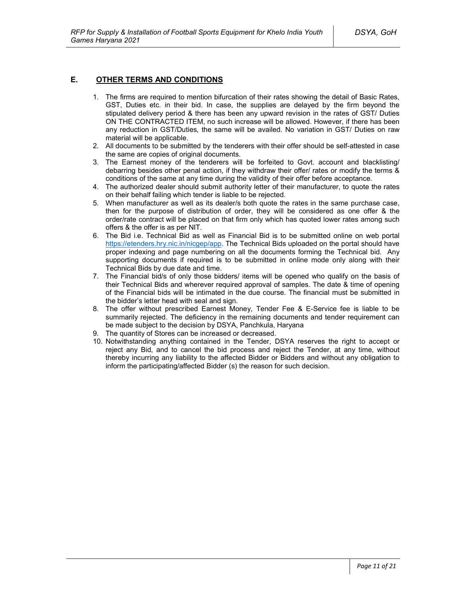### **E. OTHER TERMS AND CONDITIONS**

- 1. The firms are required to mention bifurcation of their rates showing the detail of Basic Rates, GST, Duties etc. in their bid. In case, the supplies are delayed by the firm beyond the stipulated delivery period & there has been any upward revision in the rates of GST/ Duties ON THE CONTRACTED ITEM, no such increase will be allowed. However, if there has been any reduction in GST/Duties, the same will be availed. No variation in GST/ Duties on raw material will be applicable.
- 2. All documents to be submitted by the tenderers with their offer should be self-attested in case the same are copies of original documents.
- 3. The Earnest money of the tenderers will be forfeited to Govt. account and blacklisting/ debarring besides other penal action, if they withdraw their offer/ rates or modify the terms & conditions of the same at any time during the validity of their offer before acceptance.
- 4. The authorized dealer should submit authority letter of their manufacturer, to quote the rates on their behalf failing which tender is liable to be rejected.
- 5. When manufacturer as well as its dealer/s both quote the rates in the same purchase case, then for the purpose of distribution of order, they will be considered as one offer & the order/rate contract will be placed on that firm only which has quoted lower rates among such offers & the offer is as per NIT.
- 6. The Bid i.e. Technical Bid as well as Financial Bid is to be submitted online on web portal https://etenders.hry.nic.in/nicgep/app. The Technical Bids uploaded on the portal should have proper indexing and page numbering on all the documents forming the Technical bid. Any supporting documents if required is to be submitted in online mode only along with their Technical Bids by due date and time.
- 7. The Financial bid/s of only those bidders/ items will be opened who qualify on the basis of their Technical Bids and wherever required approval of samples. The date & time of opening of the Financial bids will be intimated in the due course. The financial must be submitted in the bidder's letter head with seal and sign.
- 8. The offer without prescribed Earnest Money, Tender Fee & E-Service fee is liable to be summarily rejected. The deficiency in the remaining documents and tender requirement can be made subject to the decision by DSYA, Panchkula, Haryana
- 9. The quantity of Stores can be increased or decreased.
- 10. Notwithstanding anything contained in the Tender, DSYA reserves the right to accept or reject any Bid, and to cancel the bid process and reject the Tender, at any time, without thereby incurring any liability to the affected Bidder or Bidders and without any obligation to inform the participating/affected Bidder (s) the reason for such decision.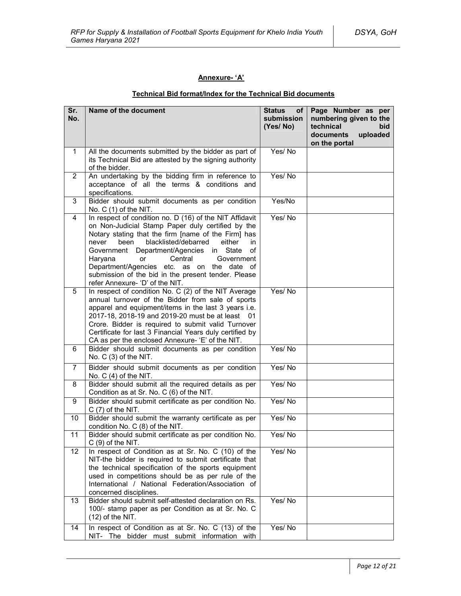### **Annexure- 'A'**

# **Technical Bid format/Index for the Technical Bid documents**

| Sr.<br>No.     | Name of the document                                                                                                                                                                                                                                                                                                                                                                                                                                                            | <b>Status</b><br>оf<br>submission<br>(Yes/No) | Page Number as per<br>numbering given to the<br>technical<br>bid<br>documents<br>uploaded<br>on the portal |
|----------------|---------------------------------------------------------------------------------------------------------------------------------------------------------------------------------------------------------------------------------------------------------------------------------------------------------------------------------------------------------------------------------------------------------------------------------------------------------------------------------|-----------------------------------------------|------------------------------------------------------------------------------------------------------------|
| $\mathbf 1$    | All the documents submitted by the bidder as part of<br>its Technical Bid are attested by the signing authority<br>of the bidder.                                                                                                                                                                                                                                                                                                                                               | Yes/No                                        |                                                                                                            |
| $\overline{2}$ | An undertaking by the bidding firm in reference to<br>acceptance of all the terms & conditions and<br>specifications.                                                                                                                                                                                                                                                                                                                                                           | Yes/No                                        |                                                                                                            |
| 3              | Bidder should submit documents as per condition<br>No. $C(1)$ of the NIT.                                                                                                                                                                                                                                                                                                                                                                                                       | Yes/No                                        |                                                                                                            |
| 4              | In respect of condition no. D (16) of the NIT Affidavit<br>on Non-Judicial Stamp Paper duly certified by the<br>Notary stating that the firm [name of the Firm] has<br>blacklisted/debarred<br>been<br>either<br>in<br>never<br>Department/Agencies<br>in<br>State<br>of<br>Government<br>Haryana<br>Central<br><b>or</b><br>Government<br>Department/Agencies etc. as on the date of<br>submission of the bid in the present tender. Please<br>refer Annexure- 'D' of the NIT. | Yes/No                                        |                                                                                                            |
| 5              | In respect of condition No. C (2) of the NIT Average<br>annual turnover of the Bidder from sale of sports<br>apparel and equipment/items in the last 3 years i.e.<br>2017-18, 2018-19 and 2019-20 must be at least 01<br>Crore. Bidder is required to submit valid Turnover<br>Certificate for last 3 Financial Years duly certified by<br>CA as per the enclosed Annexure- 'E' of the NIT.                                                                                     | Yes/No                                        |                                                                                                            |
| 6              | Bidder should submit documents as per condition<br>No. C (3) of the NIT.                                                                                                                                                                                                                                                                                                                                                                                                        | Yes/No                                        |                                                                                                            |
| $\overline{7}$ | Bidder should submit documents as per condition<br>No. $C(4)$ of the NIT.                                                                                                                                                                                                                                                                                                                                                                                                       | Yes/No                                        |                                                                                                            |
| 8              | Bidder should submit all the required details as per<br>Condition as at Sr. No. C (6) of the NIT.                                                                                                                                                                                                                                                                                                                                                                               | Yes/No                                        |                                                                                                            |
| 9              | Bidder should submit certificate as per condition No.<br>$C(7)$ of the NIT.                                                                                                                                                                                                                                                                                                                                                                                                     | Yes/No                                        |                                                                                                            |
| 10             | Bidder should submit the warranty certificate as per<br>condition No. C (8) of the NIT.                                                                                                                                                                                                                                                                                                                                                                                         | Yes/No                                        |                                                                                                            |
| 11             | Bidder should submit certificate as per condition No.<br>$C(9)$ of the NIT.                                                                                                                                                                                                                                                                                                                                                                                                     | Yes/No                                        |                                                                                                            |
| 12             | In respect of Condition as at Sr. No. C (10) of the<br>NIT-the bidder is required to submit certificate that<br>the technical specification of the sports equipment<br>used in competitions should be as per rule of the<br>International / National Federation/Association of<br>concerned disciplines.                                                                                                                                                                        | Yes/No                                        |                                                                                                            |
| 13             | Bidder should submit self-attested declaration on Rs.<br>100/- stamp paper as per Condition as at Sr. No. C<br>$(12)$ of the NIT.                                                                                                                                                                                                                                                                                                                                               | Yes/No                                        |                                                                                                            |
| 14             | In respect of Condition as at Sr. No. C (13) of the<br>NIT- The bidder must submit information with                                                                                                                                                                                                                                                                                                                                                                             | Yes/No                                        |                                                                                                            |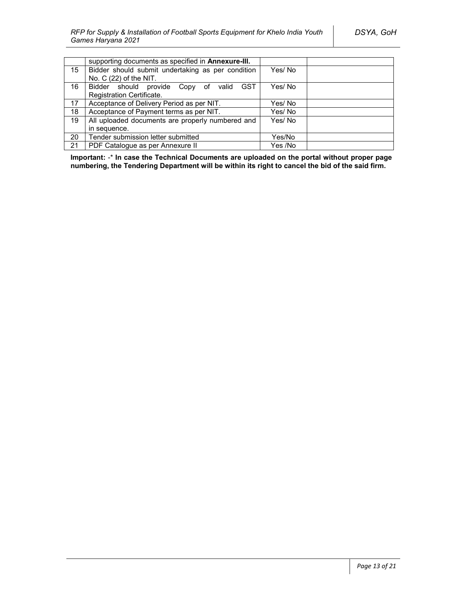|    | supporting documents as specified in Annexure-III.   |         |
|----|------------------------------------------------------|---------|
| 15 | Bidder should submit undertaking as per condition    | Yes/No  |
|    | No. C (22) of the NIT.                               |         |
| 16 | <b>GST</b><br>Bidder should provide Copy of<br>valid | Yes/ No |
|    | Registration Certificate.                            |         |
| 17 | Acceptance of Delivery Period as per NIT.            | Yes/ No |
| 18 | Acceptance of Payment terms as per NIT.              | Yes/No  |
| 19 | All uploaded documents are properly numbered and     | Yes/No  |
|    | in sequence.                                         |         |
| 20 | Tender submission letter submitted                   | Yes/No  |
| 21 | PDF Catalogue as per Annexure II                     | Yes /No |

**Important:** -\* **In case the Technical Documents are uploaded on the portal without proper page numbering, the Tendering Department will be within its right to cancel the bid of the said firm.**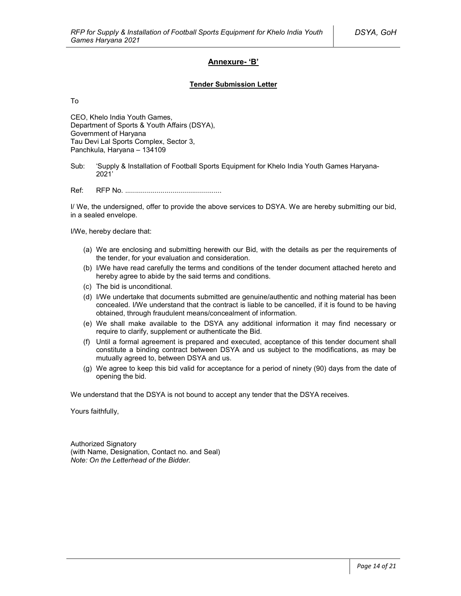### **Annexure- 'B'**

#### **Tender Submission Letter**

To

CEO, Khelo India Youth Games, Department of Sports & Youth Affairs (DSYA), Government of Haryana Tau Devi Lal Sports Complex, Sector 3, Panchkula, Haryana – 134109

Sub: 'Supply & Installation of Football Sports Equipment for Khelo India Youth Games Haryana-2021'

Ref: RFP No. .................................................

I/ We, the undersigned, offer to provide the above services to DSYA. We are hereby submitting our bid, in a sealed envelope.

I/We, hereby declare that:

- (a) We are enclosing and submitting herewith our Bid, with the details as per the requirements of the tender, for your evaluation and consideration.
- (b) I/We have read carefully the terms and conditions of the tender document attached hereto and hereby agree to abide by the said terms and conditions.
- (c) The bid is unconditional.
- (d) I/We undertake that documents submitted are genuine/authentic and nothing material has been concealed. I/We understand that the contract is liable to be cancelled, if it is found to be having obtained, through fraudulent means/concealment of information.
- (e) We shall make available to the DSYA any additional information it may find necessary or require to clarify, supplement or authenticate the Bid.
- (f) Until a formal agreement is prepared and executed, acceptance of this tender document shall constitute a binding contract between DSYA and us subject to the modifications, as may be mutually agreed to, between DSYA and us.
- (g) We agree to keep this bid valid for acceptance for a period of ninety (90) days from the date of opening the bid.

We understand that the DSYA is not bound to accept any tender that the DSYA receives.

Yours faithfully,

Authorized Signatory (with Name, Designation, Contact no. and Seal) *Note: On the Letterhead of the Bidder.*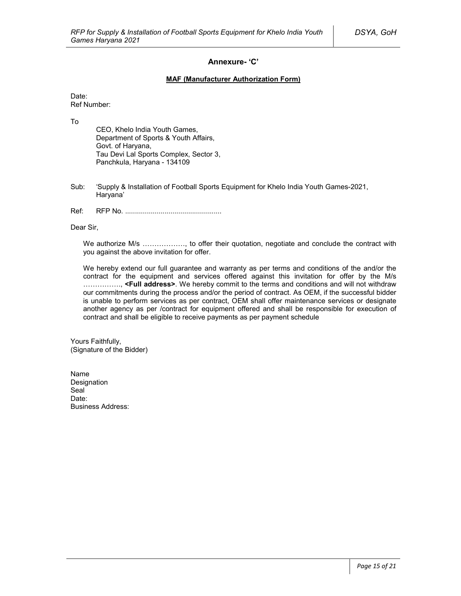### **Annexure- 'C'**

#### **MAF (Manufacturer Authorization Form)**

Date: Ref Number:

To

CEO, Khelo India Youth Games, Department of Sports & Youth Affairs, Govt. of Haryana, Tau Devi Lal Sports Complex, Sector 3, Panchkula, Haryana - 134109

- Sub: 'Supply & Installation of Football Sports Equipment for Khelo India Youth Games-2021, Haryana'
- Ref: RFP No. .................................................

Dear Sir,

We authorize M/s ................., to offer their quotation, negotiate and conclude the contract with you against the above invitation for offer.

We hereby extend our full guarantee and warranty as per terms and conditions of the and/or the contract for the equipment and services offered against this invitation for offer by the M/s ……………., **<Full address>**. We hereby commit to the terms and conditions and will not withdraw our commitments during the process and/or the period of contract. As OEM, if the successful bidder is unable to perform services as per contract, OEM shall offer maintenance services or designate another agency as per /contract for equipment offered and shall be responsible for execution of contract and shall be eligible to receive payments as per payment schedule

Yours Faithfully, (Signature of the Bidder)

Name Designation Seal<sup>1</sup> Date: Business Address: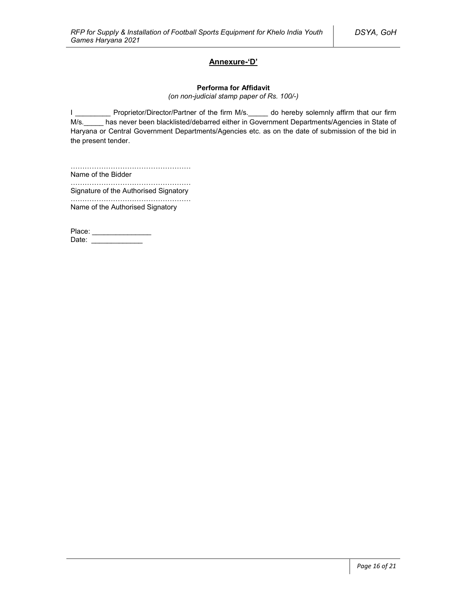### **Annexure-'D'**

#### **Performa for Affidavit**

*(on non-judicial stamp paper of Rs. 100/-)*

I \_\_\_\_\_\_\_\_\_\_ Proprietor/Director/Partner of the firm M/s. \_\_\_\_\_ do hereby solemnly affirm that our firm M/s. has never been blacklisted/debarred either in Government Departments/Agencies in State of Haryana or Central Government Departments/Agencies etc. as on the date of submission of the bid in the present tender.

…………………………………………… Name of the Bidder

…………………………………………………… Signature of the Authorised Signatory

…………………………………………… Name of the Authorised Signatory

Place: \_\_\_\_\_\_\_\_\_\_\_\_\_\_\_\_\_ Date: \_\_\_\_\_\_\_\_\_\_\_\_\_\_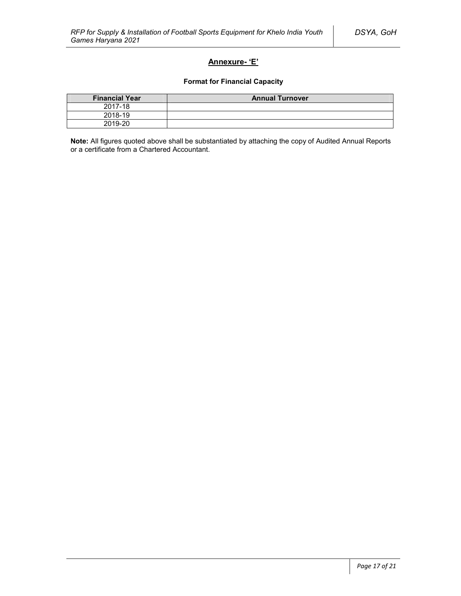### **Annexure- 'E'**

### **Format for Financial Capacity**

| <b>Financial Year</b> | <b>Annual Turnover</b> |
|-----------------------|------------------------|
| 2017-18               |                        |
| 2018-19               |                        |
| 2019-20               |                        |

**Note:** All figures quoted above shall be substantiated by attaching the copy of Audited Annual Reports or a certificate from a Chartered Accountant.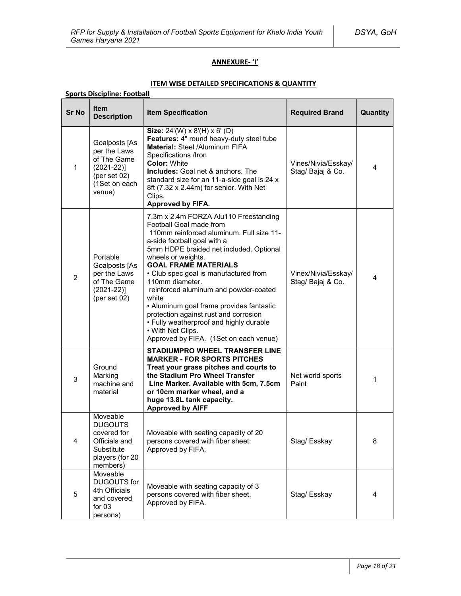### **ANNEXURE- 'I'**

### **ITEM WISE DETAILED SPECIFICATIONS & QUANTITY**

| <b>Sports Discipline: Football</b> |                                                                                                            |                                                                                                                                                                                                                                                                                                                                                                                                                                                                                                                                                          |                                          |                |
|------------------------------------|------------------------------------------------------------------------------------------------------------|----------------------------------------------------------------------------------------------------------------------------------------------------------------------------------------------------------------------------------------------------------------------------------------------------------------------------------------------------------------------------------------------------------------------------------------------------------------------------------------------------------------------------------------------------------|------------------------------------------|----------------|
| <b>Sr No</b>                       | <b>Item</b><br><b>Description</b>                                                                          | <b>Item Specification</b>                                                                                                                                                                                                                                                                                                                                                                                                                                                                                                                                | <b>Required Brand</b>                    | Quantity       |
| $\mathbf{1}$                       | Goalposts [As<br>per the Laws<br>of The Game<br>$(2021-22)]$<br>(per set $02$ )<br>(1Set on each<br>venue) | Size: 24'(W) x 8'(H) x 6' (D)<br>Features: 4" round heavy-duty steel tube<br>Material: Steel /Aluminum FIFA<br>Specifications /Iron<br><b>Color: White</b><br><b>Includes:</b> Goal net & anchors. The<br>standard size for an 11-a-side goal is 24 x<br>8ft (7.32 x 2.44m) for senior. With Net<br>Clips.<br><b>Approved by FIFA.</b>                                                                                                                                                                                                                   | Vines/Nivia/Esskay/<br>Stag/ Bajaj & Co. | $\overline{4}$ |
| $\overline{2}$                     | Portable<br>Goalposts [As<br>per the Laws<br>of The Game<br>$(2021-22)]$<br>(per set $02$ )                | 7.3m x 2.4m FORZA Alu110 Freestanding<br>Football Goal made from<br>110mm reinforced aluminum. Full size 11-<br>a-side football goal with a<br>5mm HDPE braided net included. Optional<br>wheels or weights.<br><b>GOAL FRAME MATERIALS</b><br>• Club spec goal is manufactured from<br>110mm diameter.<br>reinforced aluminum and powder-coated<br>white<br>• Aluminum goal frame provides fantastic<br>protection against rust and corrosion<br>• Fully weatherproof and highly durable<br>• With Net Clips.<br>Approved by FIFA. (1Set on each venue) | Vinex/Nivia/Esskay/<br>Stag/ Bajaj & Co. | 4              |
| 3                                  | Ground<br>Marking<br>machine and<br>material                                                               | STADIUMPRO WHEEL TRANSFER LINE<br><b>MARKER - FOR SPORTS PITCHES</b><br>Treat your grass pitches and courts to<br>the Stadium Pro Wheel Transfer<br>Line Marker. Available with 5cm, 7.5cm<br>or 10cm marker wheel, and a<br>huge 13.8L tank capacity.<br><b>Approved by AIFF</b>                                                                                                                                                                                                                                                                        | Net world sports<br>Paint                | 1              |
| $\overline{4}$                     | Moveable<br><b>DUGOUTS</b><br>covered for<br>Officials and<br>Substitute<br>players (for 20<br>members)    | Moveable with seating capacity of 20<br>persons covered with fiber sheet.<br>Approved by FIFA.                                                                                                                                                                                                                                                                                                                                                                                                                                                           | Stag/ Esskay                             | 8              |
| 5                                  | Moveable<br><b>DUGOUTS</b> for<br>4th Officials<br>and covered<br>for $03$<br>persons)                     | Moveable with seating capacity of 3<br>persons covered with fiber sheet.<br>Approved by FIFA.                                                                                                                                                                                                                                                                                                                                                                                                                                                            | Stag/Esskay                              | 4              |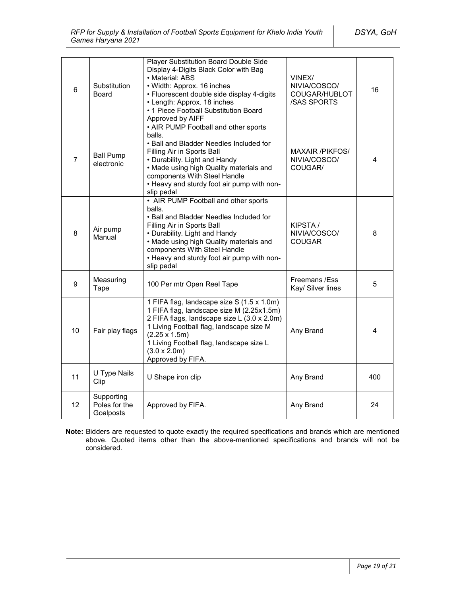| 6              | Substitution<br>Board                    | Player Substitution Board Double Side<br>Display 4-Digits Black Color with Bag<br>• Material: ABS<br>• Width: Approx. 16 inches<br>· Fluorescent double side display 4-digits<br>• Length: Approx. 18 inches<br>• 1 Piece Football Substitution Board<br>Approved by AIFF                          | VINEX/<br>NIVIA/COSCO/<br>COUGAR/HUBLOT<br><b>/SAS SPORTS</b> | 16  |
|----------------|------------------------------------------|----------------------------------------------------------------------------------------------------------------------------------------------------------------------------------------------------------------------------------------------------------------------------------------------------|---------------------------------------------------------------|-----|
| $\overline{7}$ | <b>Ball Pump</b><br>electronic           | . AIR PUMP Football and other sports<br>balls.<br>. Ball and Bladder Needles Included for<br>Filling Air in Sports Ball<br>• Durability. Light and Handy<br>. Made using high Quality materials and<br>components With Steel Handle<br>• Heavy and sturdy foot air pump with non-<br>slip pedal    | <b>MAXAIR /PIKFOS/</b><br>NIVIA/COSCO/<br>COUGAR/             | 4   |
| 8              | Air pump<br>Manual                       | • AIR PUMP Football and other sports<br>balls.<br>• Ball and Bladder Needles Included for<br>Filling Air in Sports Ball<br>• Durability. Light and Handy<br>. Made using high Quality materials and<br>components With Steel Handle<br>• Heavy and sturdy foot air pump with non-<br>slip pedal    | KIPSTA/<br>NIVIA/COSCO/<br><b>COUGAR</b>                      | 8   |
| 9              | Measuring<br>Tape                        | 100 Per mtr Open Reel Tape                                                                                                                                                                                                                                                                         | Freemans /Ess<br>Kay/ Silver lines                            | 5   |
| 10             | Fair play flags                          | 1 FIFA flag, landscape size S (1.5 x 1.0m)<br>1 FIFA flag, landscape size M (2.25x1.5m)<br>2 FIFA flags, landscape size L (3.0 x 2.0m)<br>1 Living Football flag, landscape size M<br>$(2.25 \times 1.5m)$<br>1 Living Football flag, landscape size L<br>$(3.0 \times 2.0m)$<br>Approved by FIFA. | Any Brand                                                     | 4   |
| 11             | U Type Nails<br>Clip                     | U Shape iron clip                                                                                                                                                                                                                                                                                  | Any Brand                                                     | 400 |
| 12             | Supporting<br>Poles for the<br>Goalposts | Approved by FIFA.                                                                                                                                                                                                                                                                                  | Any Brand                                                     | 24  |

**Note:** Bidders are requested to quote exactly the required specifications and brands which are mentioned above. Quoted items other than the above-mentioned specifications and brands will not be considered.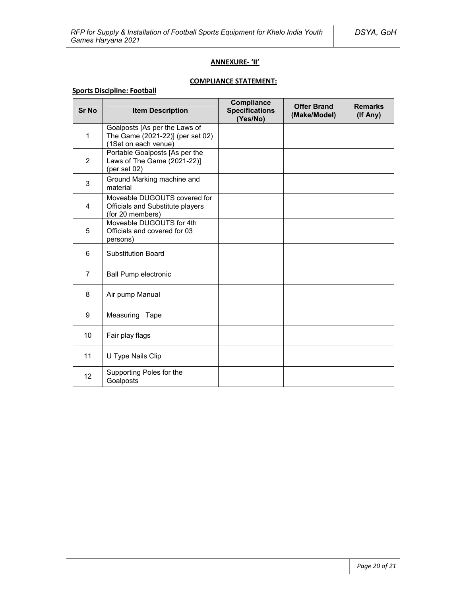### **ANNEXURE- 'II'**

# **COMPLIANCE STATEMENT:**

### **Sports Discipline: Football**

| <b>Sr No</b>      | <b>Item Description</b>                                                                   | Compliance<br><b>Specifications</b><br>(Yes/No) | <b>Offer Brand</b><br>(Make/Model) | <b>Remarks</b><br>(If Any) |
|-------------------|-------------------------------------------------------------------------------------------|-------------------------------------------------|------------------------------------|----------------------------|
| 1                 | Goalposts [As per the Laws of<br>The Game (2021-22)] (per set 02)<br>(1Set on each venue) |                                                 |                                    |                            |
| 2                 | Portable Goalposts [As per the<br>Laws of The Game (2021-22)]<br>(per set $02$ )          |                                                 |                                    |                            |
| 3                 | Ground Marking machine and<br>material                                                    |                                                 |                                    |                            |
| 4                 | Moveable DUGOUTS covered for<br>Officials and Substitute players<br>(for 20 members)      |                                                 |                                    |                            |
| 5                 | Moveable DUGOUTS for 4th<br>Officials and covered for 03<br>persons)                      |                                                 |                                    |                            |
| 6                 | <b>Substitution Board</b>                                                                 |                                                 |                                    |                            |
| 7                 | <b>Ball Pump electronic</b>                                                               |                                                 |                                    |                            |
| 8                 | Air pump Manual                                                                           |                                                 |                                    |                            |
| 9                 | Measuring<br>Tape                                                                         |                                                 |                                    |                            |
| 10                | Fair play flags                                                                           |                                                 |                                    |                            |
| 11                | U Type Nails Clip                                                                         |                                                 |                                    |                            |
| $12 \overline{ }$ | Supporting Poles for the<br>Goalposts                                                     |                                                 |                                    |                            |